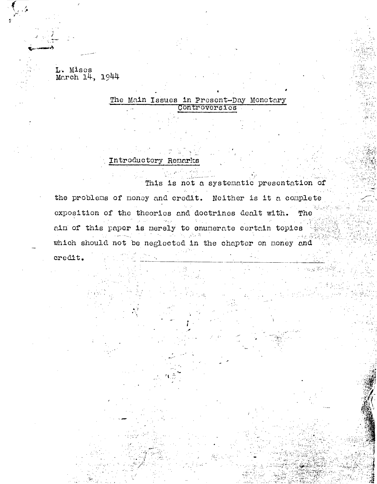L. Mises March 14, 1944

## The Main Issues in Present-Day Monetary Controversies

Introductory Remarks

This is not a systematic presentation of the problems of money and credit. Neither is it a complete exposition of the theories and doctrines dealt with. The ain of this paper is merely to cnumerate certain topics which should not be neglected in the chapter on money and credit.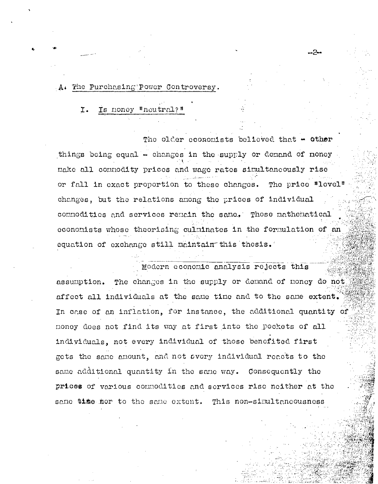### A. The Purchasing Power Controversy.

#### Is money "neutral? Ι.

The older economists believed that  $\div$  other things being equal - changes in the supply or demand of money make all commodity prices and wage rates simultaneously rise or fall in exact proportion to these changes. The price "level" changes, but the relations among the prices of individual commodities and services remain the same. Those mathematical economists whose theorising culminates in the formulation of an equation of exchange still maintain this thesis.

Modern economic analysis rejects this assumption. The changes in the supply or demand of money do not affect all individuals at the same time and to the same extent. In case of an inflation, for instance, the additional quantity of money does not find its way at first into the pockets of all individuals, not every individual of those benefited first gets the same amount, and not every individual reacts to the same additional quantity in the same way. Consequently the prices of various commodities and services rise neither at the same time nor to the same extent. This non-simultaneousness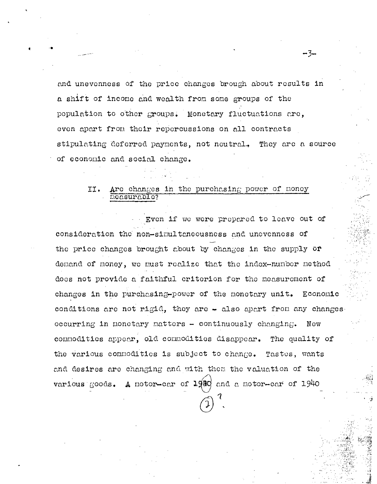and unevenness of the price changes brough about results in a shift of income and wealth from some groups of the population to other groups. Monetary fluctuations are, even apart from their repercussions on all contracts stipulating deferred payments, not neutral. They are a source of economic and social change.

 $-3-$ 

### Are changes in the purchasing power of money II. measurable?

Even if we were prepared to leave out of consideration the non-simultaneousness and unevenness of the price changes brought about by changes in the supply or demand of money, we must realize that the index-number method does not provide a faithful criterion for the measurement of changes in the purchasing-power of the monetary unit. Economic conditions are not rigid, they are  $\div$  also apart from any changes occurring in monetary matters - continuously changing. New commodities appear, old commodities disappear. The quality of the various commodities is subject to change. Tastes, wants and desires are changing and with them the valuation of the various goods. A motor-car of 1920 and a motor-car of 1940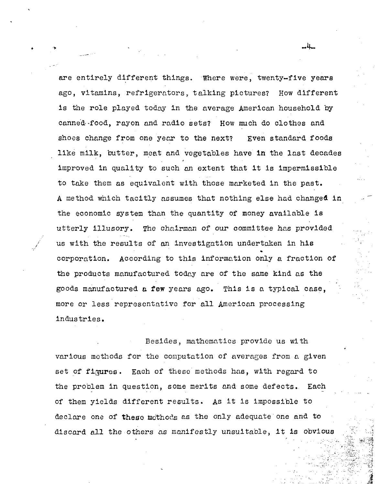are entirely different things. Where were, twenty-five years ago, vitamins, refrigerators, talking pictures? How different is the role played today in the average American household by canned food, rayon and radio sets? How much do clothes and shoes change from one year to the next? Even standard foods like milk, butter, meat and vegetables have in the last decades improved in quality to such an extent that it is impermissible to take them as equivalent with those marketed in the past. A method which tacitly assumes that nothing else had changed in the economic system than the quantity of money available is utterly illusory. The chairman of our committee has provided us with the results of an investigation undertaken in his corporation. According to this information only a fraction of the products manufactured today are of the same kind as the goods manufactured a few years ago. This is a typical case, more or less representative for all American processing industries.

•

 $\mathbf{v}$ 

/ I

> Besides, mathematics provide us with various methods for the computation of averages from a given set of figures. Each of these methods has, with regard to the problem in question, some merits and some defects. Each of them yields different results. As it is impossible to declare one of these methods as the only adequate one and to discard all the others as manifestly unsuitable, it is obvious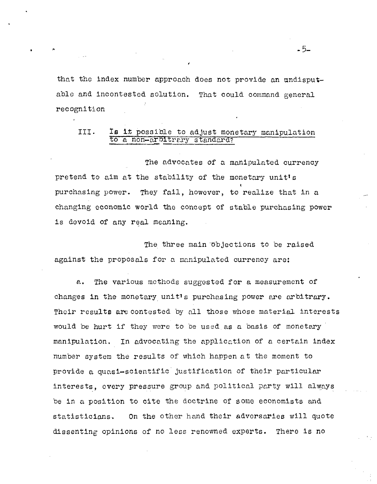that the index number approach does not provide an undisputable and incontested solution. That could command general recognition

# III. Is i:t possible to adjust monetary manipulation to a non-arbitrary standard?

The advocates of a manipulated currency pretend to aim at the stability of the monetary unit's purchasing power. They fail, however, to realize that in a changing economic world the concept of stable purchasing power is devoid of any real meaning.

The three main objections to be raised against the proposals for a manipulated currency are:

*e..* The various methods suggested for a measurement of changes in the monetary unit<sup>1</sup>s purchasing power are arbitrary. Their results are contested by nll those whose material interests would be hurt if they were to be used as a basis of monetary manipulation. In advocating the application of a certain index number system the results of which happen at the moment to provide a quasi-scientific justification of their particular interests, every pressure group and political party will always be in a position to cite the doctrine of some economists and statisticians. On the other hand their adversaries will quote dissenting opinions of no less renowned experts. There is no

-5-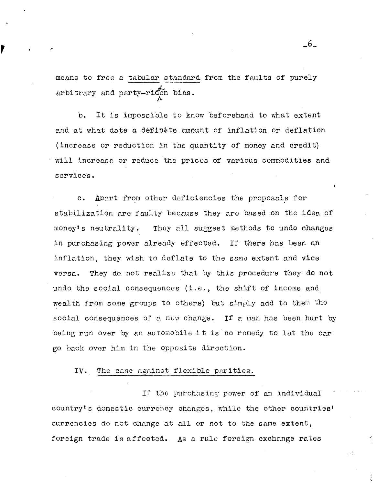means to free a tabular standard arbitrary and party-riden bins. standard  $\lambda$ from the faults of purely

 $, \nabla$ 

b. It is impossible to know beforehand to what extent and at what date a definate amount of inflation or deflation (increase or reduction in the quantity of money and credit) will increase or reduce the prices of various commodities and services.

c. Apart from other deficiencies the proposals for stabilization are faulty because they arc based on the idea of money's neutrality. They all suggest methods to undo changes in purchasing power already effected. If there has been an inflation, they wish to deflate to the same extent and vice versa. They do not realize that by this procedure they do not undo the social consequences (i.e., the shift of income and wealth from some groups to others) but simply add to then tho social consequences of a new change. If a man has been hurt by being run over by an automobile it is no remedy to let the car go back over him in the opposite direction.

### IV. The case against flexible parities.

If the purchasing power of an individual country's domestic currency changes, while the other countries' currencies do not change at all or not to the same extent, foreign trade is affected. As a rule foreign exchange rates

\_6\_

e fi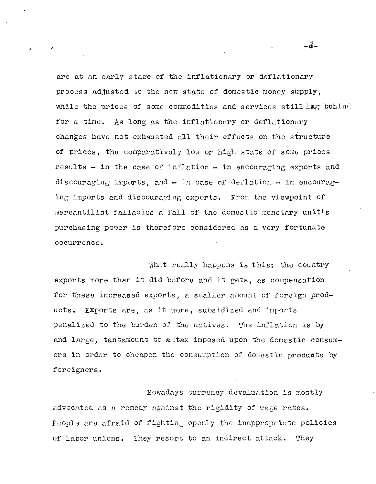are at an early stage of the inflationary or deflationary process adjusted to the new state of domestic money supply, while the prices of some commodities and services still lag behind for a time. As long as the inflationary or deflationary changes have not exhausted all their effects on the structure of prices, the comparatively low or high state of some prices results - in the case of inflation - in encouraging exports and discouraging imports, and - in case of deflation - in encouraging imports and discouraging exports. From the viewpoint of mercantilist fallacies a fall of the domestic monetary unit's purchasing power is therefore considered as a very fortunate occurrence.

What really happens is this: the country exports more than it did before and it gets, as compensation for these increased exports, a smaller amount of foreign products. Exports are, as it were, subsidized and imports penalized to the burden of the natives. The inflation is by and large, tantamount to altax imposed upon the domestic consumers in order to cheapen the consumption of domestic products by foreigners.

Mowadays currency devaluation is mostly advocated as a remedy against the rigidity of wage rates. People are afraid of fighting openly the inappropriate policies of labor unions. They resort to an indirect attack. They

 $-7-$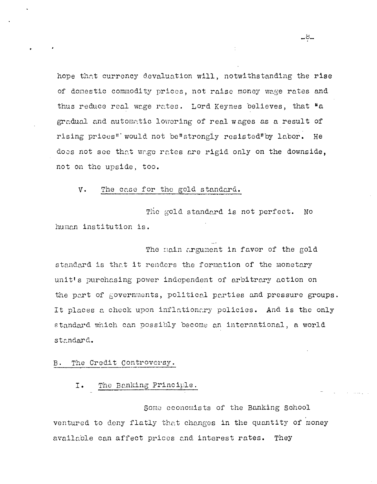hope that currency devaluation will, notwithstanding the rise of domestic commodity prices, not raise money wage rates and thus reduce real wage rates. Lord Keynes believes, that "a gradual and automatic lowering of real wages as a result of rising prices" would not be"strongly resisted"by labor. He does not see that wage rates are rigid only on the downside, not on the upside, too.

#### The case for the gold standard. v.

The gold standard is not perfect. NO human institution is.

The main argument in favor of the gold standard is that it renders the formation of the monetary unit's purchasing power independent of arbitrary action on the part of governments, political parties and pressure groups. It places a check upon inflationary policies. And is the only standard which can possibly become an international, a world standard.

#### The Credit Controversy. в.

 $I \cdot$ The Banking Principle.

Some economists of the Banking School ventured to deny flatly that changes in the quantity of money available can affect prices and interest rates. They

- ರಿ-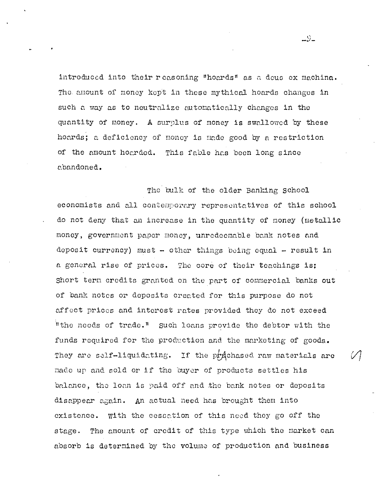introduced into their reasoning "hoards" as a deus ex machina. The amount of money kept in these mythical hoards changes in such a way as to neutralize automatically changes in the quantity of money. A surplus of money is swallowed by these hoards; a deficiency of money is made good by a restriction of the amount hoarded. This fable has been long since abandoned.

The bulk of the older Banking School economists and all contemporary representatives of this school do not deny that an increase in the quantity of money (metallic money, government paper money, unredeemable bank notes and deposit currency) must - other things being equal - result in a general rise of prices. The core of their teachings is: Short term credits granted on the part of commercial banks out of bank notes or deposits created for this purpose do not affect prices and interest rates provided they do not exceed "the needs of trade." Such loans provide the debtor with the funds required for the production and the marketing of goods. They are self-liquidating. If the produced raw materials are made up and sold or if the buyer of products settles his balance, the loan is paid off and the bank notes or deposits disappear again. An actual need has brought them into existence. With the cessation of this need they go off the stage. The amount of credit of this type which the market can absorb is determined by the volume of production and business

 $-9-$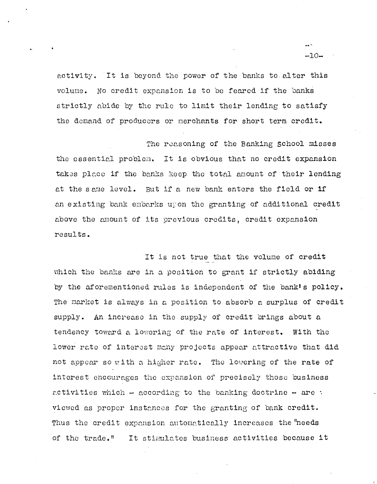activity. It is beyond the power of the banks to alter this volume. No credit expansion is to be feared if the banks strictly abide by the rule to limit their lending to satisfy the demand of producers or merchants for short term credit.

The reasoning of the Banking School misses the essential problem. It is obvious that no credit expansion takes place if the banks keep the total amount of their lending at the same level. But if a new bank enters the field or if an existing bank embarks upon the granting of additional credit above the amount of its previous credits, credit expansion results.

It is not true that the volume of credit which the banks are in a position to grant if strictly abiding by the aforementioned rules is independent of the bank's policy. The market is always in a position to absorb a surplus of credit supply. An increase in the supply of credit brings about a tendency toward a lowering of the rate of interest. With the lower rate of interest many projects appear attractive that did not appear so with a higher rate. The lowering of the rate of interest encourages the expansion of precisely those business activities which - according to the banking doctrine - are : viewed as proper instances for the granting of bank credit. Thus the credit expansion automatically increases the "needs" of the trade." It stimulates business activities because it

 $-10-$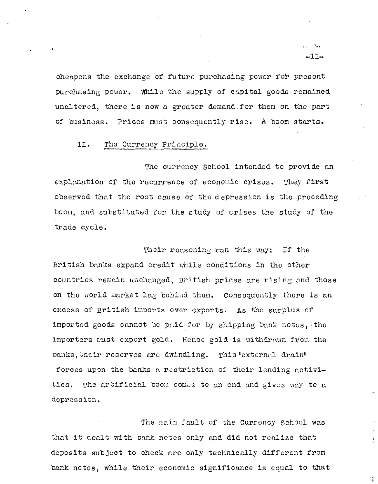cheapens the exchange of future purchasing power for present purchasing power. While the supply of capital goods remained unaltered, there is now a greater demand for them on the part of business. Prices must consequently rise. A boom starts.

#### II. The Currency Principle.

The currency School intended to provide an explanation of the recurrence of economic crises. They first observed that the root cause of the depression is the preceding boom, and substituted for the study of crises the study of the trade cycle.

Their reasoning ran this way: If the British banks expand credit while conditions in the other countries remain unchanged, British prices are rising and those on the world market lag behind them. Consequently there is an excess of British imports over exports. As the surplus of imported goods cannot be paid for by shipping bank notes, the importers must export gold. Hence gold is withdrawn from the banks, their reserves are dwindling. This "external drain" forces upon the banks a restriction of their lending activities. The artificial boom comes to an end and gives way to a depression.

The main fault of the Currency School was that it dealt with bank notes only and did not realize that deposits subject to check are only technically different from bank notes, while their economic significance is equal to that

 $-11-$ 

 $\vec{z}$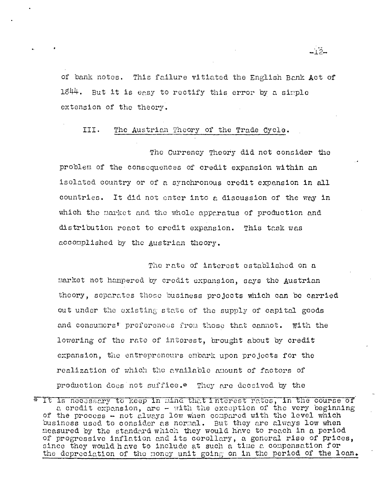of bank notes. This failure vitiated the English Bank Act of  $1844.$  But it is easy to rectify this error by a simple extension of the theory.

-أتجرأت

#### TTT. The Austrian Theory of the Trade Cycle.

The Currency Theory did not consider the problem of the consequences of credit expansion within an isolated country or of a synchronous credit expansion in all countries. It did not enter into a discussion of the way in which the market and the whole apparatus of production and distribution react to credit expansion. This task was accomplished by the Austrian theory.

The rate of interest established on a market not hampered by credit expansion, says the Austrian theory, separates those business projects which can be carried out under the existing state of the supply of capital goods and consumers' preferences from those that cannot. With the lowering of the rate of interest, brought about by credit expansion, the entrepreneurs embark upon projects for the realization of which the available amount of factors of production does not suffice.\* They are deceived by the

<sup>\*</sup> It is necessary to keep in mind that interest rates, in the course of a credit expansion, are - with the exception of the very beginning of the process - not always low when compared with the level which business used to consider as normal. But they are always low when measured by the standard which they would have to reach in a period of progressive inflation and its corollary, a general rise of prices, since they would have to include at such a time a compensation for the depreciation of the money unit going on in the period of the loan.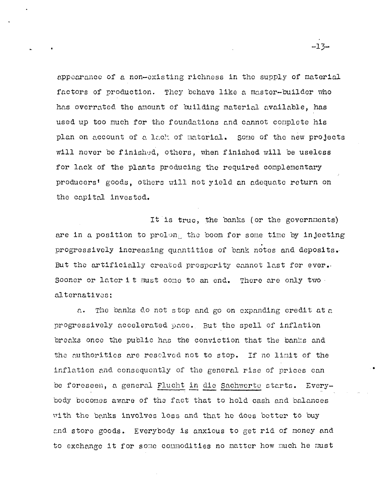appearance of a non-existing richness in the supply of material factors of production. They behave like a master-builder who has overrated the amount of building material available, has used up too much for the foundations and cannot complete his plan on account of a lack of material. Some of the new projects will never be finished, others, when finished will be useless for lack of the plants producing the required complementary producers' goods, others will not yield an adequate return on the capital invested.

It is true, the banks (or the governments) are in a position to prolong the boom for some time by injecting progressively increasing quantities of bank notes and deposits. But the artificially created prosperity cannot last for ever. Sooner or later it must come to an end. There are only two alternatives:

The banks do not stop and go on expanding credit at a  $\hat{c}$ . progressively accelerated pace. But the spell of inflation breaks once the public has the conviction that the banks and the authorities are reselved not to stop. If no limit of the inflation and consequently of the general rise of prices can be foreseen, a general Flucht in die Sachwerte starts. Everybody becomes aware of the fact that to hold cash and balances with the banks involves loss and that he does better to buy and store goods. Everybody is anxious to get rid of money and to exchange it for some commodities no matter how much he must

 $-13-$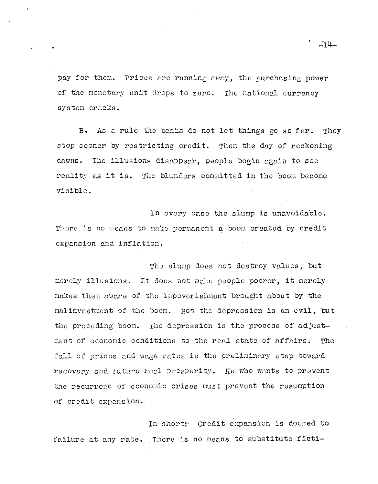pay for them. Prices are running away, the purchasing power of the monetary unit drops to zero. The national currency system cracks.

As a rule the banks do not let things go so far. They  $B$ . stop sooner by restricting credit. Then the day of reckoning dawns. The illusions disappear, people begin again to see reality as it is. The blunders committed in the boom become visible.

In every case the slump is unavoidable. There is no means to make permanent a boom created by credit expansion and inflation.

The slump does not destroy values, but merely illusions. It does not make people poorer, it merely makes them aware of the impoverishment brought about by the malinvestment of the boom. Not the depression is an evil, but the preceding boom. The depression is the process of adjustment of economic conditions to the real state of affairs. **The** fall of prices and wage rates is the preliminary step toward recovery and future real presperity. He who wants to prevent the recurrenc of economic crises must prevent the resumption of credit expansion.

In short: Credit expansion is doomed to failure at any rate. There is no means to substitute ficti-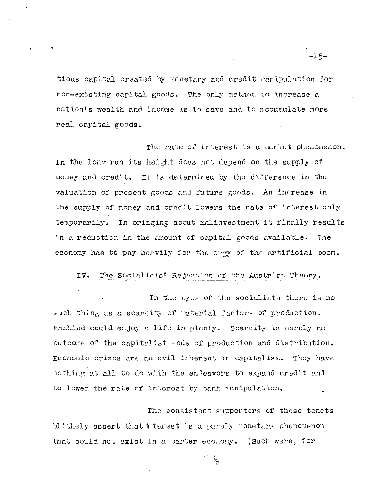tious capital created by monetary and credit manipulation for non-existing capital goods. The only method to increase a nation's wealth and income is to save and to accumulate more real capital goods.

The rate of interest is a market phenomenon. In the long run its height does not depend on the supply of money and credit. It is determined by the difference in the valuation of present goods and future goods. An increase in the supply of money and credit lowers the rate of interest only temporarily. In pringing about malinvestment it finally results in a reduction in the amount of capital goods available. The economy has to pay heavily for the orgy of the artificial boom.

#### IV. The Socialists' Rejection of the Austrian Theory.

In the eyes of the socialists there is no such thing as a scarcity of material factors of production. Mankind could enjoy a life in plenty. Scarcity is merely an outcome of the capitalist mode of production and distribution. Economic crises are an evil inherent in capitalism. They have nothing at all to do with the endeavors to expand credit and to lower the rate of interest by bank manipulation.

The consistent supporters of these tenets blithely assert that interest is a purely monetary phenomenon that could not exist in a barter economy. (Such were, for

agairtí

 $-15-$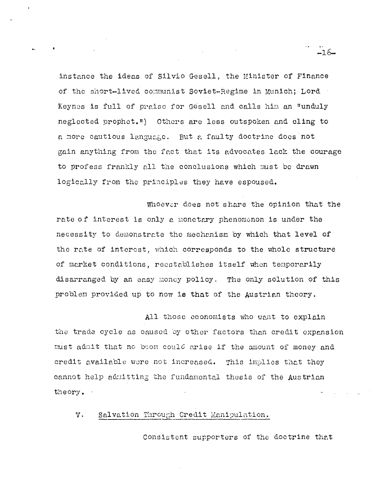instance the ideas of Silvio Gesell, the Minister of Finance of the short-lived communist Soviet-Regime in Munich; Lord Keynes is full of praise for Gesell and calls him an "unduly neglected prophet.") Others are less outspoken and cling to a more cautious language. But a faulty doctrine does not gain anything from the fact that its advocates lack the courage to profess frankly all the conclusions which must be drawn logically from the principles they have espoused.

Whoever does not share the opinion that the rate of interest is only a monetary phenomenon is under the necessity to demonstrate the mechanism by which that level of the rate of interest, which corresponds to the whole structure of market conditions, reestablishes itself when temporarily disarranged by an easy money policy. The only solution of this problem provided up to now is that of the Austrian theory.

All those economists who want to explain the trade cycle as caused by other factors than credit expansion must admit that no boom could arise if the amount of money and credit available were not increased. This implies that they cannot help admitting the fundamental thesis of the Austrian theory.

v. Salvation Through Credit Manipulation.

Consistent supporters of the doctrine that

 $-16-$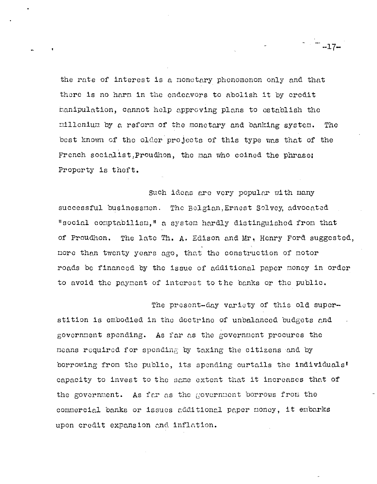the rate of interest is a monetary phenomenon only and that there is no harm in the endeavors to abolish it by credit manipulation, cannot help approving plans to establish the millenium by a reform of the monetary and banking system. The best known of the older projects of this type was that of the French socialist, Proudhon, the man who coined the phrase; Property is theft.

Such ideas are very popular with many successful businessmen. The Belgian, Ernest Solvey, advocated "social comptabilism," a system hardly distinguished from that of Proudhon. The late Th. A. Edison and Mr. Henry Ford suggested, more than twenty years ago, that the construction of motor roads be financed by the issue of additional paper money in order to avoid the payment of interest to the banks or the public.

The present-day variety of this old superstition is embodied in the doctrine of unbalanced budgets and government spending. As far as the government procures the means required for spending by taxing the citizens and by borrowing from the public, its spending curtails the individuals' capacity to invest to the same extent that it increases that of the government. As far as the government borrows from the commercial banks or issues additional paper money, it embarks upon credit expansion and inflation.

 $-17-$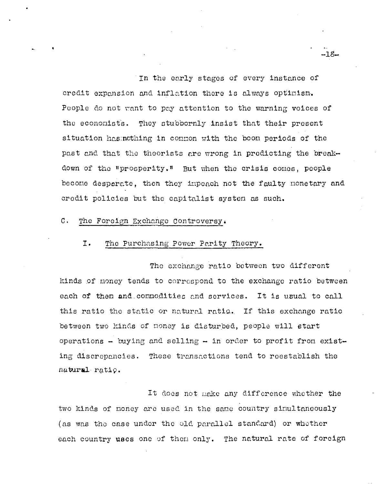In the early stages of every instance of credit expansion and inflation there is always optimism. People do not want to pay attention to the warning voices of the economists. They stubbornly insist that their present situation has nothing in common with the boom periods of the past and that the theorists are wrong in predicting the breakdown of the "prosperity." But when the crisis comes, people become desperate, then they impeach not the faulty monetary and credit policies but the capitalist system as such.

#### $\mathsf{C}$ . The Foreign Exchange Controversy.

#### I. The Purchasing Power Parity Theory.

The exchange ratio between two different kinds of money tends to correspond to the exchange ratio between each of then and connodities and services. It is usual to call this ratio the static or natural ratio. If this exchange ratio between two kinds of money is disturbed, people will start operations - buying and selling - in order to profit from existing discrepancies. These transactions tend to reestablish the natural ratio.

It does not make any difference whether the two kinds of money are used in the same country simultaneously (as was the case under the old parallel standard) or whether each country uses one of them only. The natural rate of foreign

-18-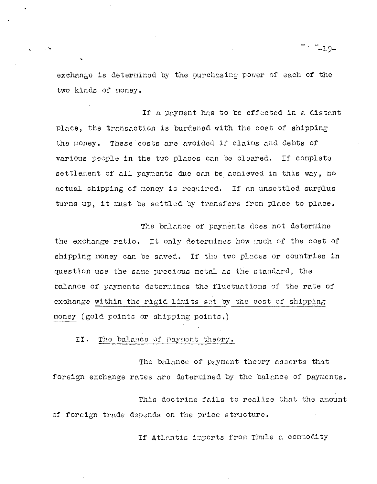exchange is determined by the purchasing power of each of the two kinds of money.

-19-

If a payment has to be effected in a distant place, the transaction is burdened with the cost of shipping the money. These costs are avoided if claims and debts of various people in the two places can be cleared. If complete settlement of all payments due can be achieved in this way, no actual shipping of money is required. If an unsettled surplus turns up, it must be settled by transfers from place to place.

The balance of payments does not determine the exchange ratio. It only determines how much of the cost of shipping money can be saved. If the two places or countries in question use the same precious metal as the standard, the balance of payments determines the fluctuations of the rate of exchange within the rigid limits set by the cost of shipping money (gold points or shipping points.)

II. The balance of payment theory.

The balance of payment theory asserts that foreign exchange rates are determined by the balance of payments.

This doctrine fails to realize that the amount of foreign trade depends on the price structure.

If Atlantis imports from Thule a commodity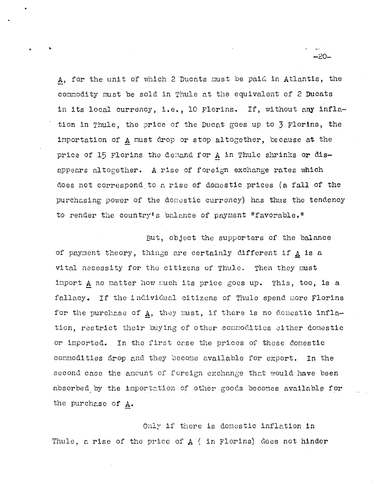A, for the unit of which 2 Ducats must be paid in Atlantis, the commodity must be sold in Thule at the equivalent of 2 Ducats in its local currency, i.e., 10 Florins. If, without any inflation in Thule, the price of the Ducat goes up to 3 Florins, the importation of A must drop or stop altogether, because at the price of 15 Florins the demand for A in Thule shrinks or disappears altogether. A rise of foreign exchange rates which does not correspond to a rise of domestic prices (a fall of the purchasing power of the domestic currency) has thus the tendency to render the country's balance of payment "favorable."

But, object the supporters of the balance of payment theory, things are certainly different if A is a vital necessity for the citizens of Thule. Then they must import A no matter how much its price goes up. This, too, is a fallacy. If the individual citizens of Thule spend more Florins for the purchase of A, they must, if there is no demestic inflation, restrict their buying of other commodities either domestic or imported. In the first case the prices of these domestic commodities drop and they become available for export. In the second case the amount of foreign exchange that would have been absorbed by the importation of other goods becomes available for the purchase of A.

Only if there is domestic inflation in Thule, a rise of the price of  $A$  (in Florins) does not hinder

 $-20-$